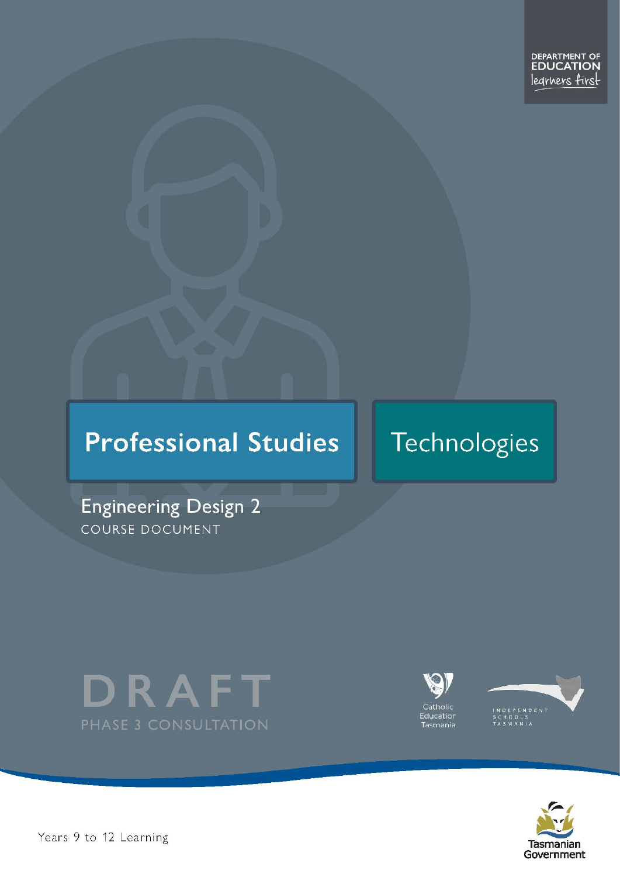# **Professional Studies**

# Technologies

**Engineering Design 2** COURSE DOCUMENT







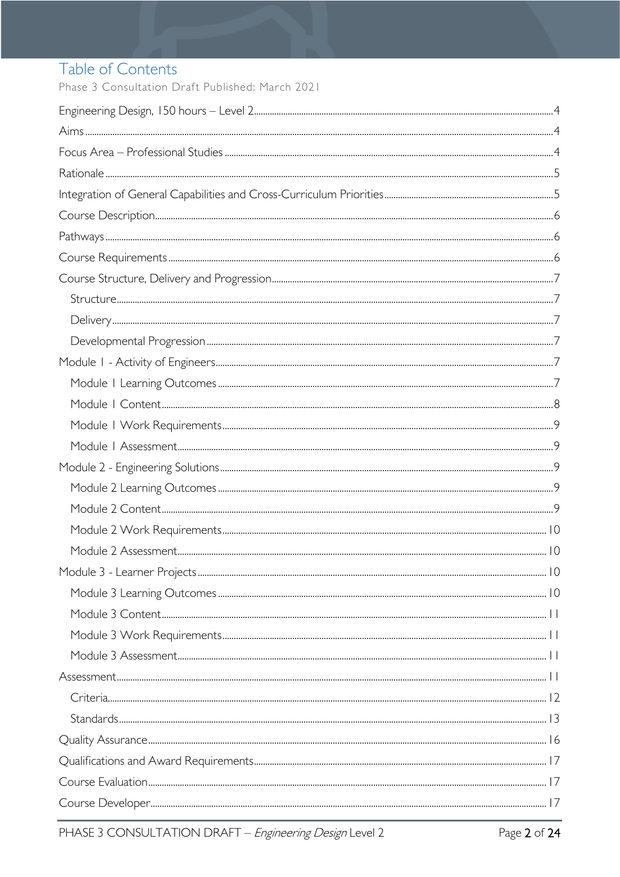# Table of Contents

Phase 3 Consultation Draft Published: March 2021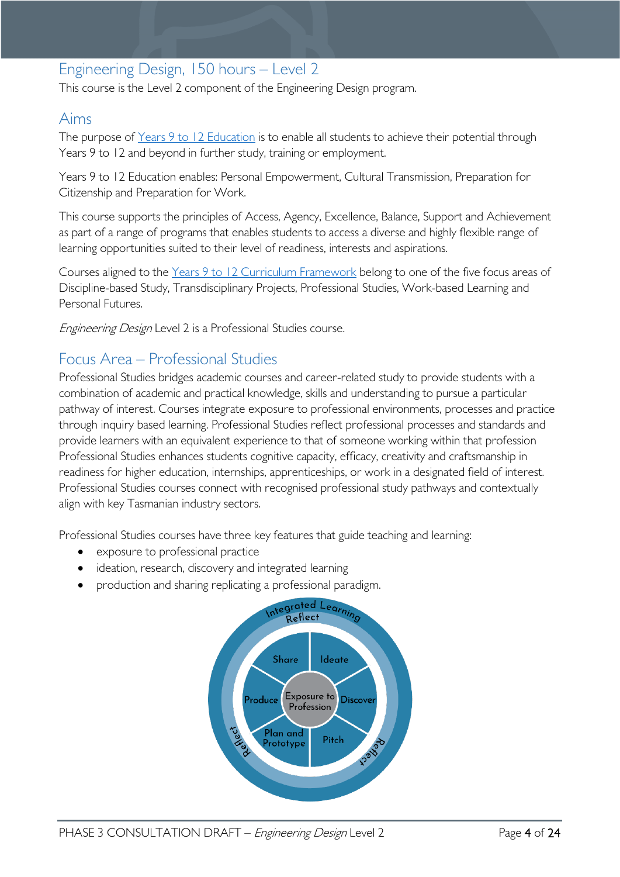# <span id="page-3-0"></span>Engineering Design, 150 hours – Level 2

This course is the Level 2 component of the Engineering Design program.

# <span id="page-3-1"></span>Aims

The purpose of Years 9 to 12 [Education](https://publicdocumentcentre.education.tas.gov.au/library/Shared%20Documents/Years-9-to-12-Education-Framework.pdf) is to enable all students to achieve their potential through Years 9 to 12 and beyond in further study, training or employment.

Years 9 to 12 Education enables: Personal Empowerment, Cultural Transmission, Preparation for Citizenship and Preparation for Work.

This course supports the principles of Access, Agency, Excellence, Balance, Support and Achievement as part of a range of programs that enables students to access a diverse and highly flexible range of learning opportunities suited to their level of readiness, interests and aspirations.

Courses aligned to the Years 9 to 12 Curriculum [Framework](https://publicdocumentcentre.education.tas.gov.au/library/Shared%20Documents/Education%209-12%20Frameworks%20A3%20WEB%20POSTER.pdf) belong to one of the five focus areas of Discipline-based Study, Transdisciplinary Projects, Professional Studies, Work-based Learning and Personal Futures.

Engineering Design Level 2 is a Professional Studies course.

# <span id="page-3-2"></span>Focus Area – Professional Studies

Professional Studies bridges academic courses and career-related study to provide students with a combination of academic and practical knowledge, skills and understanding to pursue a particular pathway of interest. Courses integrate exposure to professional environments, processes and practice through inquiry based learning. Professional Studies reflect professional processes and standards and provide learners with an equivalent experience to that of someone working within that profession Professional Studies enhances students cognitive capacity, efficacy, creativity and craftsmanship in readiness for higher education, internships, apprenticeships, or work in a designated field of interest. Professional Studies courses connect with recognised professional study pathways and contextually align with key Tasmanian industry sectors.

Professional Studies courses have three key features that guide teaching and learning:

- exposure to professional practice
- ideation, research, discovery and integrated learning
- production and sharing replicating a professional paradigm.

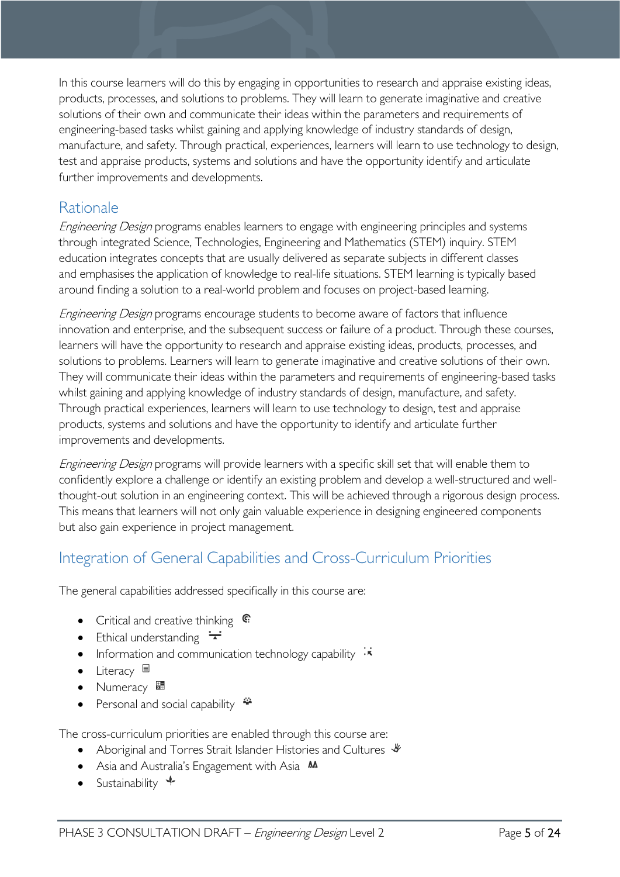In this course learners will do this by engaging in opportunities to research and appraise existing ideas, products, processes, and solutions to problems. They will learn to generate imaginative and creative solutions of their own and communicate their ideas within the parameters and requirements of engineering-based tasks whilst gaining and applying knowledge of industry standards of design, manufacture, and safety. Through practical, experiences, learners will learn to use technology to design, test and appraise products, systems and solutions and have the opportunity identify and articulate further improvements and developments.

# <span id="page-4-0"></span>Rationale

Engineering Design programs enables learners to engage with engineering principles and systems through integrated Science, Technologies, Engineering and Mathematics (STEM) inquiry. STEM education integrates concepts that are usually delivered as separate subjects in different classes and emphasises the application of knowledge to real-life situations. STEM learning is typically based around finding a solution to a real-world problem and focuses on project-based learning.

Engineering Design programs encourage students to become aware of factors that influence innovation and enterprise, and the subsequent success or failure of a product. Through these courses, learners will have the opportunity to research and appraise existing ideas, products, processes, and solutions to problems. Learners will learn to generate imaginative and creative solutions of their own. They will communicate their ideas within the parameters and requirements of engineering-based tasks whilst gaining and applying knowledge of industry standards of design, manufacture, and safety. Through practical experiences, learners will learn to use technology to design, test and appraise products, systems and solutions and have the opportunity to identify and articulate further improvements and developments.

Engineering Design programs will provide learners with a specific skill set that will enable them to confidently explore a challenge or identify an existing problem and develop a well-structured and wellthought-out solution in an engineering context. This will be achieved through a rigorous design process. This means that learners will not only gain valuable experience in designing engineered components but also gain experience in project management.

# <span id="page-4-1"></span>Integration of General Capabilities and Cross-Curriculum Priorities

The general capabilities addressed specifically in this course are:

- Critical and creative thinking  $\mathbb{C}$
- Ethical understanding  $\div$
- Information and communication technology capability  $\ddot{\cdot}$
- Literacy
- Numeracy  $\frac{1}{2}$
- Personal and social capability  $\ddot{\ddot{\bullet}}$

The cross-curriculum priorities are enabled through this course are:

- Aboriginal and Torres Strait Islander Histories and Cultures  $\mathcal V$
- Asia and Australia's Engagement with Asia **AA**
- Sustainability  $\triangleleft$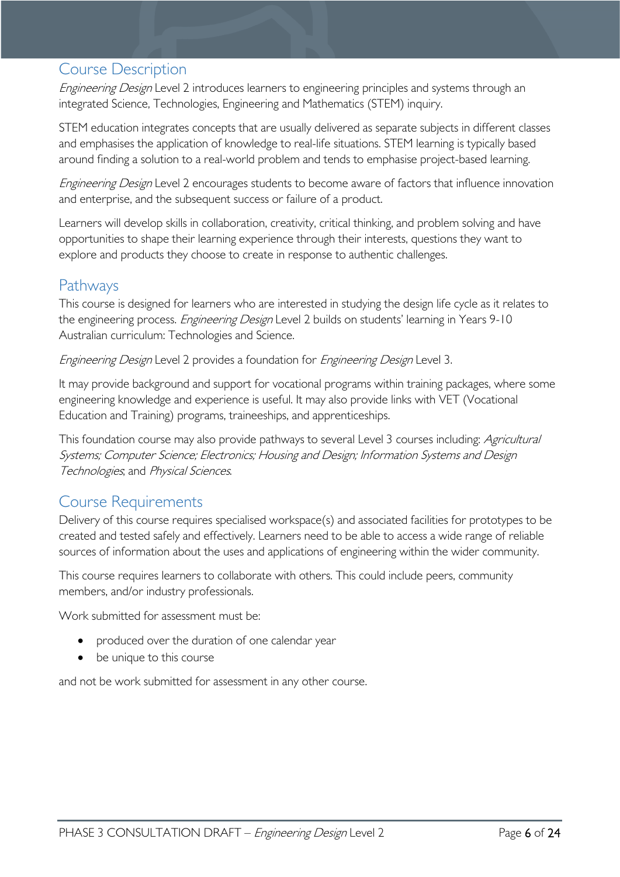# <span id="page-5-0"></span>Course Description

Engineering Design Level 2 introduces learners to engineering principles and systems through an integrated Science, Technologies, Engineering and Mathematics (STEM) inquiry.

STEM education integrates concepts that are usually delivered as separate subjects in different classes and emphasises the application of knowledge to real-life situations. STEM learning is typically based around finding a solution to a real-world problem and tends to emphasise project-based learning.

Engineering Design Level 2 encourages students to become aware of factors that influence innovation and enterprise, and the subsequent success or failure of a product.

Learners will develop skills in collaboration, creativity, critical thinking, and problem solving and have opportunities to shape their learning experience through their interests, questions they want to explore and products they choose to create in response to authentic challenges.

# <span id="page-5-1"></span>Pathways

This course is designed for learners who are interested in studying the design life cycle as it relates to the engineering process. Engineering Design Level 2 builds on students' learning in Years 9-10 Australian curriculum: Technologies and Science.

Engineering Design Level 2 provides a foundation for Engineering Design Level 3.

It may provide background and support for vocational programs within training packages, where some engineering knowledge and experience is useful. It may also provide links with VET (Vocational Education and Training) programs, traineeships, and apprenticeships.

This foundation course may also provide pathways to several Level 3 courses including: *Agricultural* Systems; Computer Science; Electronics; Housing and Design; Information Systems and Design Technologies; and Physical Sciences.

# <span id="page-5-2"></span>Course Requirements

Delivery of this course requires specialised workspace(s) and associated facilities for prototypes to be created and tested safely and effectively. Learners need to be able to access a wide range of reliable sources of information about the uses and applications of engineering within the wider community.

This course requires learners to collaborate with others. This could include peers, community members, and/or industry professionals.

Work submitted for assessment must be:

- produced over the duration of one calendar year
- be unique to this course

and not be work submitted for assessment in any other course.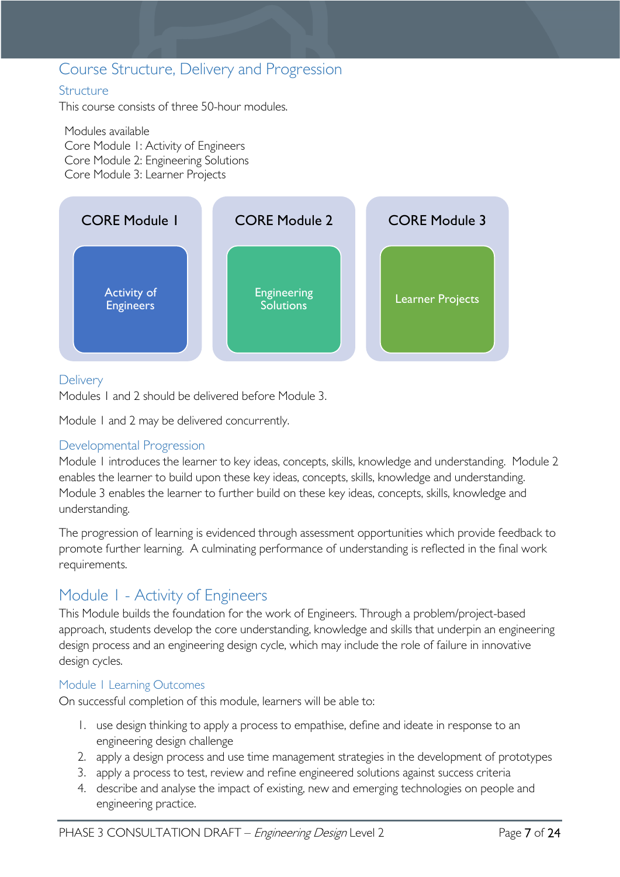# <span id="page-6-0"></span>Course Structure, Delivery and Progression

### <span id="page-6-1"></span>**Structure**

This course consists of three 50-hour modules.

Modules available Core Module 1: Activity of Engineers Core Module 2: Engineering Solutions Core Module 3: Learner Projects



# <span id="page-6-2"></span>**Delivery**

Modules 1 and 2 should be delivered before Module 3.

Module 1 and 2 may be delivered concurrently.

# <span id="page-6-3"></span>Developmental Progression

Module 1 introduces the learner to key ideas, concepts, skills, knowledge and understanding. Module 2 enables the learner to build upon these key ideas, concepts, skills, knowledge and understanding. Module 3 enables the learner to further build on these key ideas, concepts, skills, knowledge and understanding.

The progression of learning is evidenced through assessment opportunities which provide feedback to promote further learning. A culminating performance of understanding is reflected in the final work requirements.

# <span id="page-6-4"></span>Module 1 - Activity of Engineers

This Module builds the foundation for the work of Engineers. Through a problem/project-based approach, students develop the core understanding, knowledge and skills that underpin an engineering design process and an engineering design cycle, which may include the role of failure in innovative design cycles.

### <span id="page-6-5"></span>Module 1 Learning Outcomes

On successful completion of this module, learners will be able to:

- 1. use design thinking to apply a process to empathise, define and ideate in response to an engineering design challenge
- 2. apply a design process and use time management strategies in the development of prototypes
- 3. apply a process to test, review and refine engineered solutions against success criteria
- 4. describe and analyse the impact of existing, new and emerging technologies on people and engineering practice.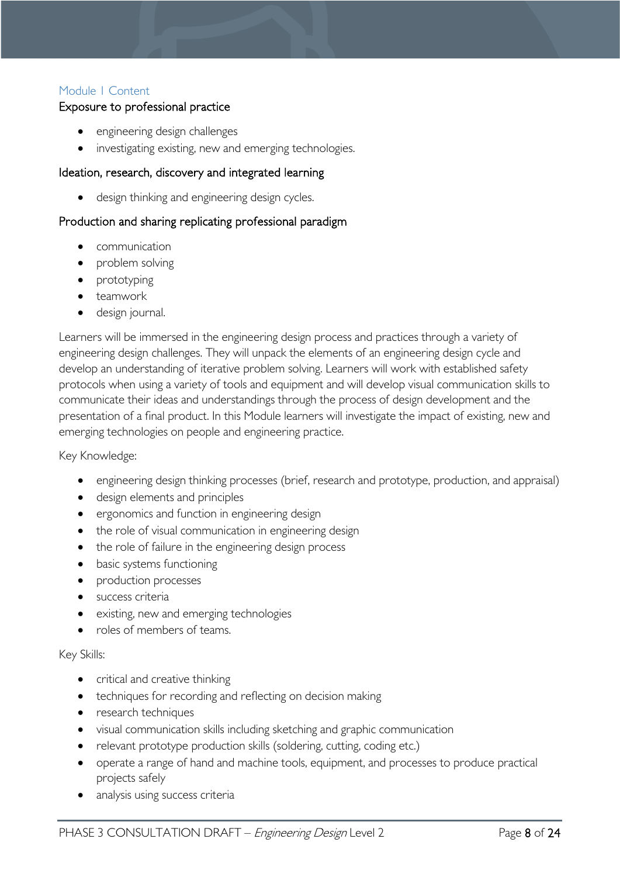# <span id="page-7-0"></span>Module 1 Content

### Exposure to professional practice

- engineering design challenges
- investigating existing, new and emerging technologies.

#### Ideation, research, discovery and integrated learning

design thinking and engineering design cycles.

### Production and sharing replicating professional paradigm

- communication
- problem solving
- prototyping
- teamwork
- design journal.

Learners will be immersed in the engineering design process and practices through a variety of engineering design challenges. They will unpack the elements of an engineering design cycle and develop an understanding of iterative problem solving. Learners will work with established safety protocols when using a variety of tools and equipment and will develop visual communication skills to communicate their ideas and understandings through the process of design development and the presentation of a final product. In this Module learners will investigate the impact of existing, new and emerging technologies on people and engineering practice.

#### Key Knowledge:

- engineering design thinking processes (brief, research and prototype, production, and appraisal)
- design elements and principles
- ergonomics and function in engineering design
- the role of visual communication in engineering design
- the role of failure in the engineering design process
- basic systems functioning
- production processes
- **•** success criteria
- existing, new and emerging technologies
- roles of members of teams.

#### Key Skills:

- critical and creative thinking
- techniques for recording and reflecting on decision making
- research techniques
- visual communication skills including sketching and graphic communication
- relevant prototype production skills (soldering, cutting, coding etc.)
- operate a range of hand and machine tools, equipment, and processes to produce practical projects safely
- analysis using success criteria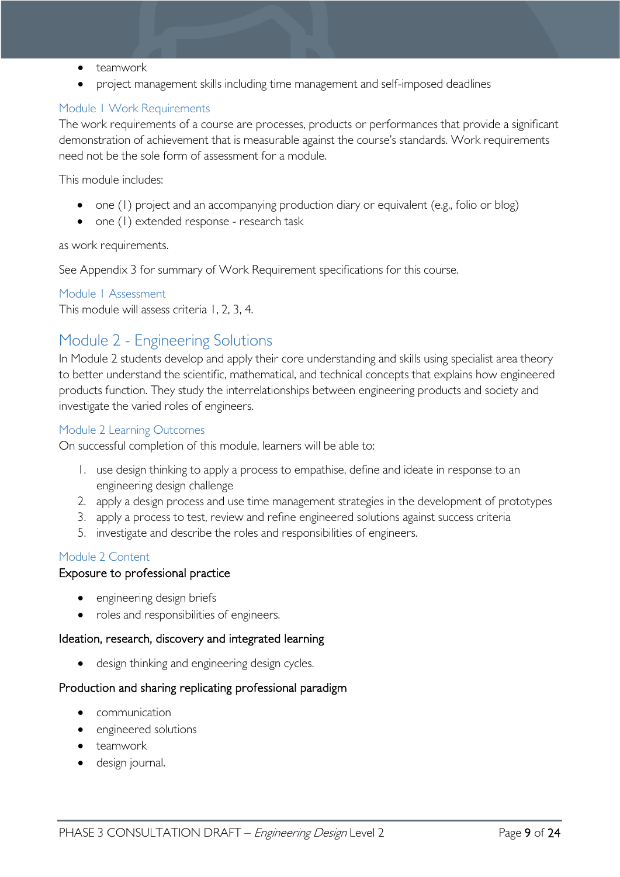- teamwork
- project management skills including time management and self-imposed deadlines

### <span id="page-8-0"></span>Module 1 Work Requirements

The work requirements of a course are processes, products or performances that provide a significant demonstration of achievement that is measurable against the course's standards. Work requirements need not be the sole form of assessment for a module.

This module includes:

- one (1) project and an accompanying production diary or equivalent (e.g., folio or blog)
- one (1) extended response research task

#### as work requirements.

See Appendix 3 for summary of Work Requirement specifications for this course.

### <span id="page-8-1"></span>Module 1 Assessment

This module will assess criteria 1, 2, 3, 4.

# <span id="page-8-2"></span>Module 2 - Engineering Solutions

In Module 2 students develop and apply their core understanding and skills using specialist area theory to better understand the scientific, mathematical, and technical concepts that explains how engineered products function. They study the interrelationships between engineering products and society and investigate the varied roles of engineers.

#### <span id="page-8-3"></span>Module 2 Learning Outcomes

On successful completion of this module, learners will be able to:

- 1. use design thinking to apply a process to empathise, define and ideate in response to an engineering design challenge
- 2. apply a design process and use time management strategies in the development of prototypes
- 3. apply a process to test, review and refine engineered solutions against success criteria
- 5. investigate and describe the roles and responsibilities of engineers.

### <span id="page-8-4"></span>Module 2 Content

### Exposure to professional practice

- engineering design briefs
- roles and responsibilities of engineers.

#### Ideation, research, discovery and integrated learning

• design thinking and engineering design cycles.

### Production and sharing replicating professional paradigm

- communication
- engineered solutions
- teamwork
- design journal.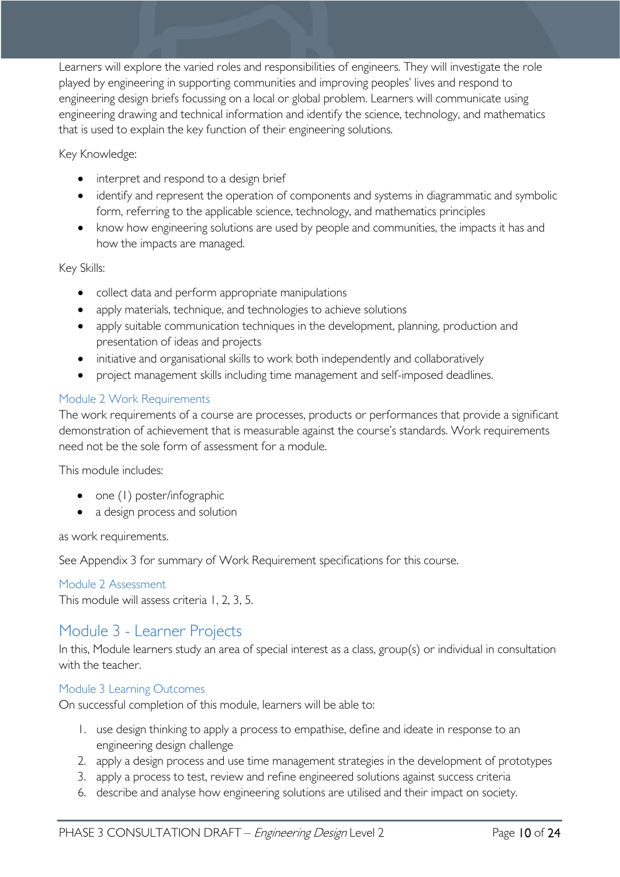Learners will explore the varied roles and responsibilities of engineers. They will investigate the role played by engineering in supporting communities and improving peoples' lives and respond to engineering design briefs focussing on a local or global problem. Learners will communicate using engineering drawing and technical information and identify the science, technology, and mathematics that is used to explain the key function of their engineering solutions.

Key Knowledge:

- interpret and respond to a design brief
- identify and represent the operation of components and systems in diagrammatic and symbolic form, referring to the applicable science, technology, and mathematics principles
- know how engineering solutions are used by people and communities, the impacts it has and how the impacts are managed.

Key Skills:

- collect data and perform appropriate manipulations
- apply materials, technique, and technologies to achieve solutions
- apply suitable communication techniques in the development, planning, production and presentation of ideas and projects
- initiative and organisational skills to work both independently and collaboratively
- project management skills including time management and self-imposed deadlines.

# <span id="page-9-0"></span>Module 2 Work Requirements

The work requirements of a course are processes, products or performances that provide a significant demonstration of achievement that is measurable against the course's standards. Work requirements need not be the sole form of assessment for a module.

This module includes:

- one (1) poster/infographic
- a design process and solution

as work requirements.

See Appendix 3 for summary of Work Requirement specifications for this course.

<span id="page-9-1"></span>Module 2 Assessment

This module will assess criteria 1, 2, 3, 5.

# <span id="page-9-2"></span>Module 3 - Learner Projects

In this, Module learners study an area of special interest as a class, group(s) or individual in consultation with the teacher.

### <span id="page-9-3"></span>Module 3 Learning Outcomes

On successful completion of this module, learners will be able to:

- 1. use design thinking to apply a process to empathise, define and ideate in response to an engineering design challenge
- 2. apply a design process and use time management strategies in the development of prototypes
- 3. apply a process to test, review and refine engineered solutions against success criteria
- 6. describe and analyse how engineering solutions are utilised and their impact on society.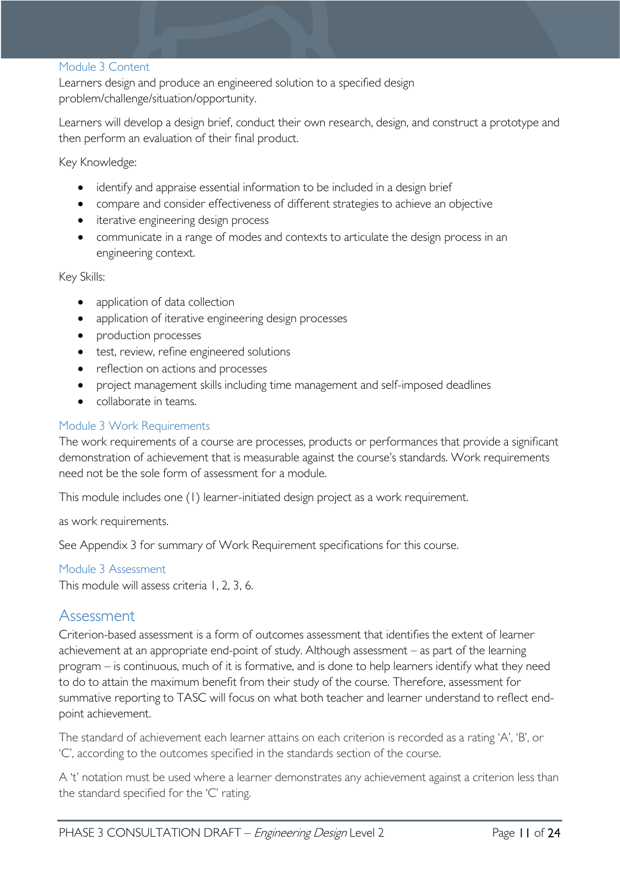#### <span id="page-10-0"></span>Module 3 Content

Learners design and produce an engineered solution to a specified design problem/challenge/situation/opportunity.

Learners will develop a design brief, conduct their own research, design, and construct a prototype and then perform an evaluation of their final product.

Key Knowledge:

- identify and appraise essential information to be included in a design brief
- compare and consider effectiveness of different strategies to achieve an objective
- iterative engineering design process
- communicate in a range of modes and contexts to articulate the design process in an engineering context.

Key Skills:

- application of data collection
- application of iterative engineering design processes
- production processes
- test, review, refine engineered solutions
- reflection on actions and processes
- project management skills including time management and self-imposed deadlines
- collaborate in teams.

#### <span id="page-10-1"></span>Module 3 Work Requirements

The work requirements of a course are processes, products or performances that provide a significant demonstration of achievement that is measurable against the course's standards. Work requirements need not be the sole form of assessment for a module.

This module includes one (1) learner-initiated design project as a work requirement.

as work requirements.

See Appendix 3 for summary of Work Requirement specifications for this course.

#### <span id="page-10-2"></span>Module 3 Assessment

This module will assess criteria 1, 2, 3, 6.

# <span id="page-10-3"></span>Assessment

Criterion-based assessment is a form of outcomes assessment that identifies the extent of learner achievement at an appropriate end-point of study. Although assessment – as part of the learning program – is continuous, much of it is formative, and is done to help learners identify what they need to do to attain the maximum benefit from their study of the course. Therefore, assessment for summative reporting to TASC will focus on what both teacher and learner understand to reflect endpoint achievement.

The standard of achievement each learner attains on each criterion is recorded as a rating 'A', 'B', or 'C', according to the outcomes specified in the standards section of the course.

A 't' notation must be used where a learner demonstrates any achievement against a criterion less than the standard specified for the 'C' rating.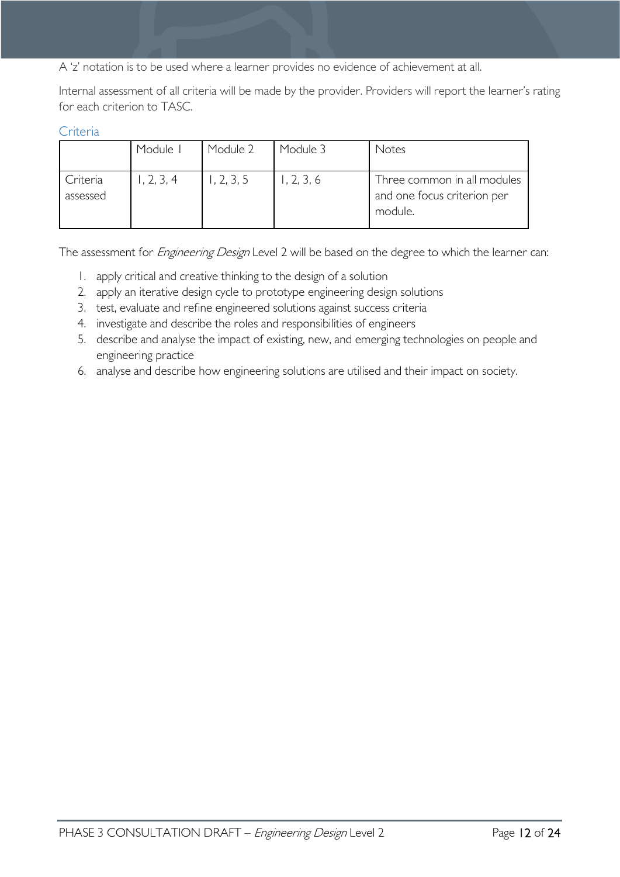A 'z' notation is to be used where a learner provides no evidence of achievement at all.

Internal assessment of all criteria will be made by the provider. Providers will report the learner's rating for each criterion to TASC.

#### <span id="page-11-0"></span>**Criteria**

|                      | Module I   | Module 2  | Module 3   | Notes                                                                 |
|----------------------|------------|-----------|------------|-----------------------------------------------------------------------|
| Criteria<br>assessed | 1, 2, 3, 4 | , 2, 3, 5 | 1, 2, 3, 6 | Three common in all modules<br>and one focus criterion per<br>module. |

The assessment for *Engineering Design* Level 2 will be based on the degree to which the learner can:

- 1. apply critical and creative thinking to the design of a solution
- 2. apply an iterative design cycle to prototype engineering design solutions
- 3. test, evaluate and refine engineered solutions against success criteria
- 4. investigate and describe the roles and responsibilities of engineers
- 5. describe and analyse the impact of existing, new, and emerging technologies on people and engineering practice
- 6. analyse and describe how engineering solutions are utilised and their impact on society.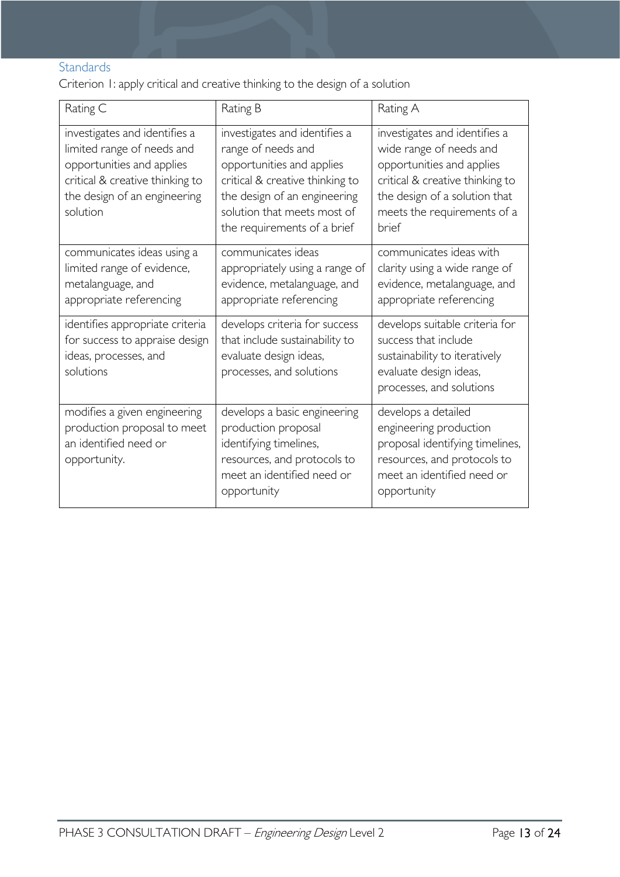# <span id="page-12-0"></span>**Standards**

Criterion 1: apply critical and creative thinking to the design of a solution

| Rating C                                                                                                                                                                | Rating B                                                                                                                                                                                                          | Rating A                                                                                                                                                                                          |
|-------------------------------------------------------------------------------------------------------------------------------------------------------------------------|-------------------------------------------------------------------------------------------------------------------------------------------------------------------------------------------------------------------|---------------------------------------------------------------------------------------------------------------------------------------------------------------------------------------------------|
| investigates and identifies a<br>limited range of needs and<br>opportunities and applies<br>critical & creative thinking to<br>the design of an engineering<br>solution | investigates and identifies a<br>range of needs and<br>opportunities and applies<br>critical & creative thinking to<br>the design of an engineering<br>solution that meets most of<br>the requirements of a brief | investigates and identifies a<br>wide range of needs and<br>opportunities and applies<br>critical & creative thinking to<br>the design of a solution that<br>meets the requirements of a<br>brief |
| communicates ideas using a<br>limited range of evidence,<br>metalanguage, and<br>appropriate referencing                                                                | communicates ideas<br>appropriately using a range of<br>evidence, metalanguage, and<br>appropriate referencing                                                                                                    | communicates ideas with<br>clarity using a wide range of<br>evidence, metalanguage, and<br>appropriate referencing                                                                                |
| identifies appropriate criteria<br>for success to appraise design<br>ideas, processes, and<br>solutions                                                                 | develops criteria for success<br>that include sustainability to<br>evaluate design ideas,<br>processes, and solutions                                                                                             | develops suitable criteria for<br>success that include<br>sustainability to iteratively<br>evaluate design ideas,<br>processes, and solutions                                                     |
| modifies a given engineering<br>production proposal to meet<br>an identified need or<br>opportunity.                                                                    | develops a basic engineering<br>production proposal<br>identifying timelines,<br>resources, and protocols to<br>meet an identified need or<br>opportunity                                                         | develops a detailed<br>engineering production<br>proposal identifying timelines,<br>resources, and protocols to<br>meet an identified need or<br>opportunity                                      |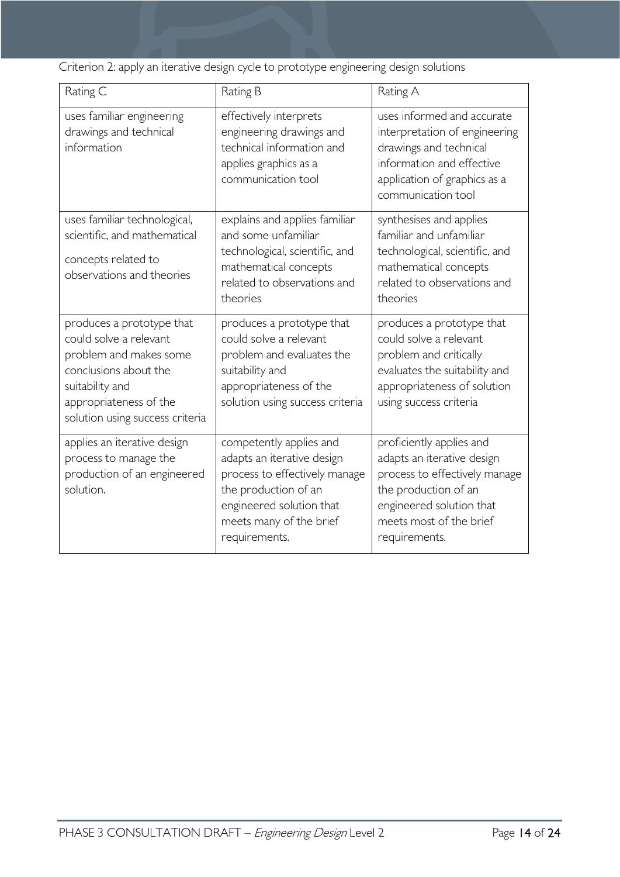Criterion 2: apply an iterative design cycle to prototype engineering design solutions

| Rating C                                                                                                                                                                               | Rating B                                                                                                                                                                               | Rating A                                                                                                                                                                                |  |  |
|----------------------------------------------------------------------------------------------------------------------------------------------------------------------------------------|----------------------------------------------------------------------------------------------------------------------------------------------------------------------------------------|-----------------------------------------------------------------------------------------------------------------------------------------------------------------------------------------|--|--|
| uses familiar engineering<br>drawings and technical<br>information                                                                                                                     | effectively interprets<br>engineering drawings and<br>technical information and<br>applies graphics as a<br>communication tool                                                         | uses informed and accurate<br>interpretation of engineering<br>drawings and technical<br>information and effective<br>application of graphics as a<br>communication tool                |  |  |
| uses familiar technological,<br>scientific, and mathematical<br>concepts related to<br>observations and theories                                                                       | explains and applies familiar<br>and some unfamiliar<br>technological, scientific, and<br>mathematical concepts<br>related to observations and<br>theories                             | synthesises and applies<br>familiar and unfamiliar<br>technological, scientific, and<br>mathematical concepts<br>related to observations and<br>theories                                |  |  |
| produces a prototype that<br>could solve a relevant<br>problem and makes some<br>conclusions about the<br>suitability and<br>appropriateness of the<br>solution using success criteria | produces a prototype that<br>could solve a relevant<br>problem and evaluates the<br>suitability and<br>appropriateness of the<br>solution using success criteria                       | produces a prototype that<br>could solve a relevant<br>problem and critically<br>evaluates the suitability and<br>appropriateness of solution<br>using success criteria                 |  |  |
| applies an iterative design<br>process to manage the<br>production of an engineered<br>solution.                                                                                       | competently applies and<br>adapts an iterative design<br>process to effectively manage<br>the production of an<br>engineered solution that<br>meets many of the brief<br>requirements. | proficiently applies and<br>adapts an iterative design<br>process to effectively manage<br>the production of an<br>engineered solution that<br>meets most of the brief<br>requirements. |  |  |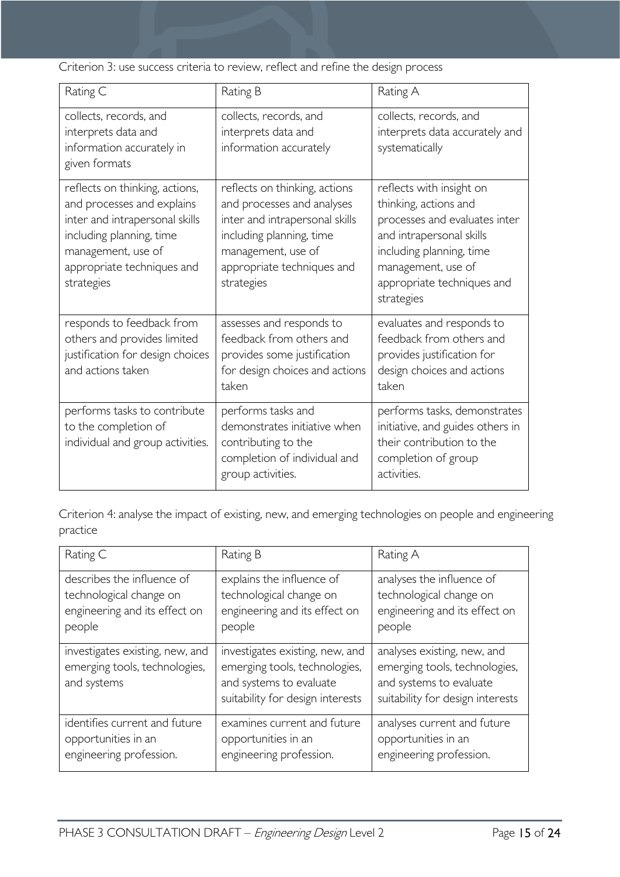Criterion 3: use success criteria to review, reflect and refine the design process

| Rating C                                                                                                                                                                                     | Rating B                                                                                                                                                                                    | Rating A                                                                                                                                                                                                     |
|----------------------------------------------------------------------------------------------------------------------------------------------------------------------------------------------|---------------------------------------------------------------------------------------------------------------------------------------------------------------------------------------------|--------------------------------------------------------------------------------------------------------------------------------------------------------------------------------------------------------------|
| collects, records, and<br>interprets data and<br>information accurately in<br>given formats                                                                                                  | collects, records, and<br>interprets data and<br>information accurately                                                                                                                     | collects, records, and<br>interprets data accurately and<br>systematically                                                                                                                                   |
| reflects on thinking, actions,<br>and processes and explains<br>inter and intrapersonal skills<br>including planning, time<br>management, use of<br>appropriate techniques and<br>strategies | reflects on thinking, actions<br>and processes and analyses<br>inter and intrapersonal skills<br>including planning, time<br>management, use of<br>appropriate techniques and<br>strategies | reflects with insight on<br>thinking, actions and<br>processes and evaluates inter<br>and intrapersonal skills<br>including planning, time<br>management, use of<br>appropriate techniques and<br>strategies |
| responds to feedback from<br>others and provides limited<br>justification for design choices<br>and actions taken                                                                            | assesses and responds to<br>feedback from others and<br>provides some justification<br>for design choices and actions<br>taken                                                              | evaluates and responds to<br>feedback from others and<br>provides justification for<br>design choices and actions<br>taken                                                                                   |
| performs tasks to contribute<br>to the completion of<br>individual and group activities.                                                                                                     | performs tasks and<br>demonstrates initiative when<br>contributing to the<br>completion of individual and<br>group activities.                                                              | performs tasks, demonstrates<br>initiative, and guides others in<br>their contribution to the<br>completion of group<br>activities.                                                                          |

Criterion 4: analyse the impact of existing, new, and emerging technologies on people and engineering practice

| Rating C                                                                        | Rating B                                                                                                                        | Rating A                                                                                                                    |
|---------------------------------------------------------------------------------|---------------------------------------------------------------------------------------------------------------------------------|-----------------------------------------------------------------------------------------------------------------------------|
| describes the influence of                                                      | explains the influence of                                                                                                       | analyses the influence of                                                                                                   |
| technological change on                                                         | technological change on                                                                                                         | technological change on                                                                                                     |
| engineering and its effect on                                                   | engineering and its effect on                                                                                                   | engineering and its effect on                                                                                               |
| people                                                                          | people                                                                                                                          | people                                                                                                                      |
| investigates existing, new, and<br>emerging tools, technologies,<br>and systems | investigates existing, new, and<br>emerging tools, technologies,<br>and systems to evaluate<br>suitability for design interests | analyses existing, new, and<br>emerging tools, technologies,<br>and systems to evaluate<br>suitability for design interests |
| identifies current and future                                                   | examines current and future                                                                                                     | analyses current and future                                                                                                 |
| opportunities in an                                                             | opportunities in an                                                                                                             | opportunities in an                                                                                                         |
| engineering profession.                                                         | engineering profession.                                                                                                         | engineering profession.                                                                                                     |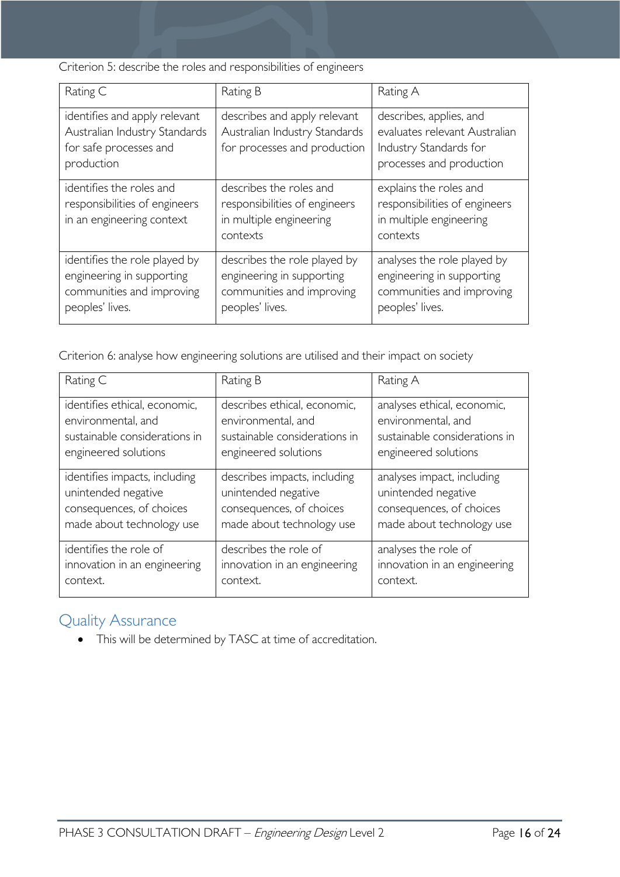Criterion 5: describe the roles and responsibilities of engineers

| Rating C                                                                                                   | Rating B                                                                                                  | Rating A                                                                                                       |
|------------------------------------------------------------------------------------------------------------|-----------------------------------------------------------------------------------------------------------|----------------------------------------------------------------------------------------------------------------|
| identifies and apply relevant<br>Australian Industry Standards<br>for safe processes and<br>production     | describes and apply relevant<br>Australian Industry Standards<br>for processes and production             | describes, applies, and<br>evaluates relevant Australian<br>Industry Standards for<br>processes and production |
| identifies the roles and<br>responsibilities of engineers<br>in an engineering context                     | describes the roles and<br>responsibilities of engineers<br>in multiple engineering<br>contexts           | explains the roles and<br>responsibilities of engineers<br>in multiple engineering<br>contexts                 |
| identifies the role played by<br>engineering in supporting<br>communities and improving<br>peoples' lives. | describes the role played by<br>engineering in supporting<br>communities and improving<br>peoples' lives. | analyses the role played by<br>engineering in supporting<br>communities and improving<br>peoples' lives.       |

Criterion 6: analyse how engineering solutions are utilised and their impact on society

| Rating C                      | Rating B                      | Rating A                      |
|-------------------------------|-------------------------------|-------------------------------|
| identifies ethical, economic, | describes ethical, economic,  | analyses ethical, economic,   |
| environmental, and            | environmental, and            | environmental, and            |
| sustainable considerations in | sustainable considerations in | sustainable considerations in |
| engineered solutions          | engineered solutions          | engineered solutions          |
| identifies impacts, including | describes impacts, including  | analyses impact, including    |
| unintended negative           | unintended negative           | unintended negative           |
| consequences, of choices      | consequences, of choices      | consequences, of choices      |
| made about technology use     | made about technology use     | made about technology use     |
| identifies the role of        | describes the role of         | analyses the role of          |
| innovation in an engineering  | innovation in an engineering  | innovation in an engineering  |
| context.                      | context.                      | context.                      |

# <span id="page-15-0"></span>Quality Assurance

• This will be determined by TASC at time of accreditation.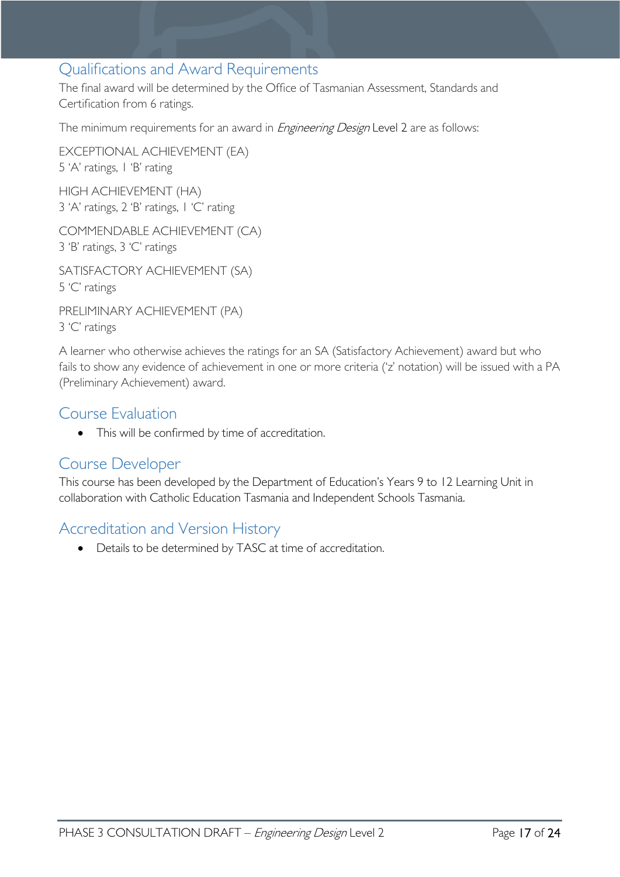# <span id="page-16-0"></span>Qualifications and Award Requirements

The final award will be determined by the Office of Tasmanian Assessment, Standards and Certification from 6 ratings.

The minimum requirements for an award in *Engineering Design* Level 2 are as follows:

EXCEPTIONAL ACHIEVEMENT (EA) 5 'A' ratings, 1 'B' rating HIGH ACHIEVEMENT (HA)

3 'A' ratings, 2 'B' ratings, 1 'C' rating

COMMENDABLE ACHIEVEMENT (CA) 3 'B' ratings, 3 'C' ratings

SATISFACTORY ACHIEVEMENT (SA) 5 'C' ratings

PRELIMINARY ACHIEVEMENT (PA) 3 'C' ratings

A learner who otherwise achieves the ratings for an SA (Satisfactory Achievement) award but who fails to show any evidence of achievement in one or more criteria ('z' notation) will be issued with a PA (Preliminary Achievement) award.

# <span id="page-16-1"></span>Course Evaluation

• This will be confirmed by time of accreditation.

# <span id="page-16-2"></span>Course Developer

This course has been developed by the Department of Education's Years 9 to 12 Learning Unit in collaboration with Catholic Education Tasmania and Independent Schools Tasmania.

# <span id="page-16-3"></span>Accreditation and Version History

• Details to be determined by TASC at time of accreditation.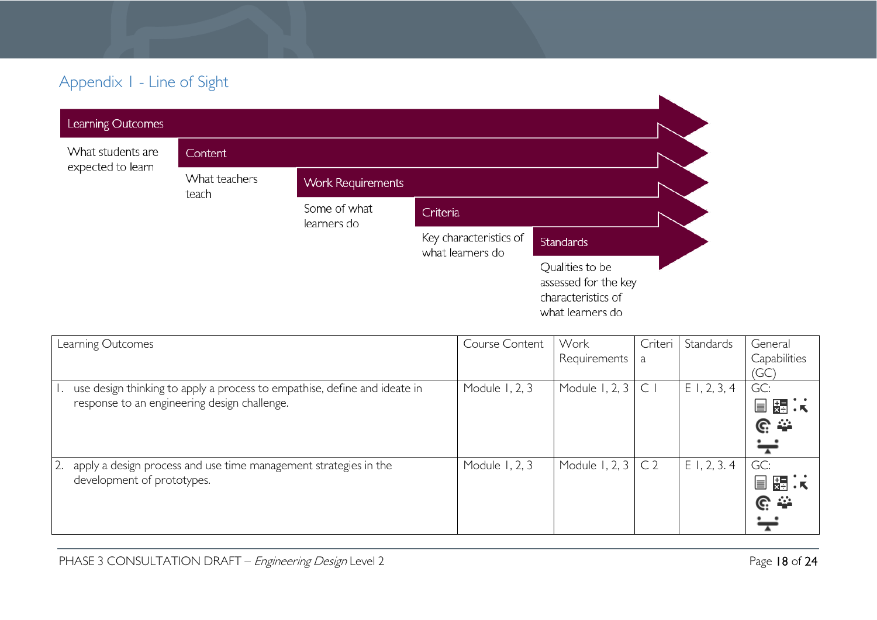# Appendix 1 - Line of Sight

| Learning Outcomes |                        |                             |                                            |                                                                                   |  |
|-------------------|------------------------|-----------------------------|--------------------------------------------|-----------------------------------------------------------------------------------|--|
| What students are | Content                |                             |                                            |                                                                                   |  |
| expected to learn | What teachers<br>teach | <b>Work Requirements</b>    |                                            |                                                                                   |  |
|                   |                        | Some of what<br>learners do | Criteria                                   |                                                                                   |  |
|                   |                        |                             | Key characteristics of<br>what learners do | <b>Standards</b>                                                                  |  |
|                   |                        |                             |                                            | Qualities to be<br>assessed for the key<br>characteristics of<br>what learners do |  |

<span id="page-17-0"></span>

| Learning Outcomes                                                         | Course Content | Work           | Criteri        | Standards      | General         |
|---------------------------------------------------------------------------|----------------|----------------|----------------|----------------|-----------------|
|                                                                           |                | Requirements   | a              |                | Capabilities    |
|                                                                           |                |                |                |                | (GC)            |
| use design thinking to apply a process to empathise, define and ideate in | Module 1, 2, 3 | Module 1, 2, 3 | $\subset$      | $E$ 1, 2, 3, 4 | GC:             |
| response to an engineering design challenge.                              |                |                |                |                | ——<br>※□ 天<br>E |
|                                                                           |                |                |                |                | ල ආ             |
|                                                                           |                |                |                |                | ╤               |
| 2.<br>apply a design process and use time management strategies in the    | Module 1, 2, 3 | Module 1, 2, 3 | C <sub>2</sub> | E1, 2, 3.4     | GC:             |
| development of prototypes.                                                |                |                |                |                | ⋤⋾⋰<br>e        |
|                                                                           |                |                |                |                | <u>ଙ୍</u> ⇔     |
|                                                                           |                |                |                |                |                 |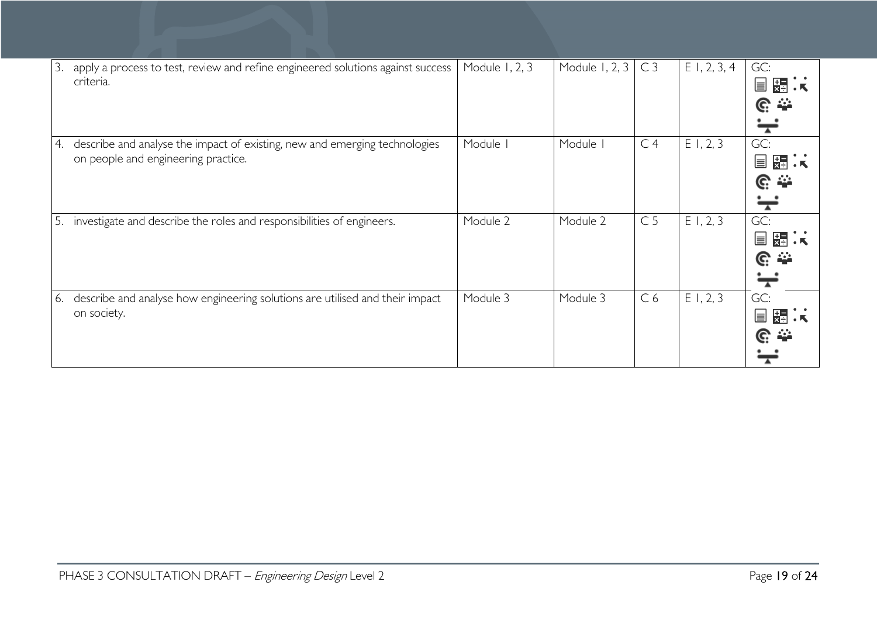| 3. | apply a process to test, review and refine engineered solutions against success<br>criteria.                      | Module 1, 2, 3 | Module 1, 2, 3 | C <sub>3</sub> | $E$ 1, 2, 3, 4 | GC:<br>关系<br>E<br>$\mathbb{C} \cong$           |
|----|-------------------------------------------------------------------------------------------------------------------|----------------|----------------|----------------|----------------|------------------------------------------------|
| 4. | describe and analyse the impact of existing, new and emerging technologies<br>on people and engineering practice. | Module I       | Module I       | C <sub>4</sub> | E1, 2, 3       | GC:<br>——<br>※引:K<br>≣<br>$\mathbb{C}$ $\cong$ |
| 5. | investigate and describe the roles and responsibilities of engineers.                                             | Module 2       | Module 2       | C <sub>5</sub> | E1, 2, 3       | GC:<br>器法<br>$\equiv$<br><u>ଙ୍</u>             |
| 6. | describe and analyse how engineering solutions are utilised and their impact<br>on society.                       | Module 3       | Module 3       | C <sub>6</sub> | E1, 2, 3       | GC:<br>冒霜法<br>$C \cong$                        |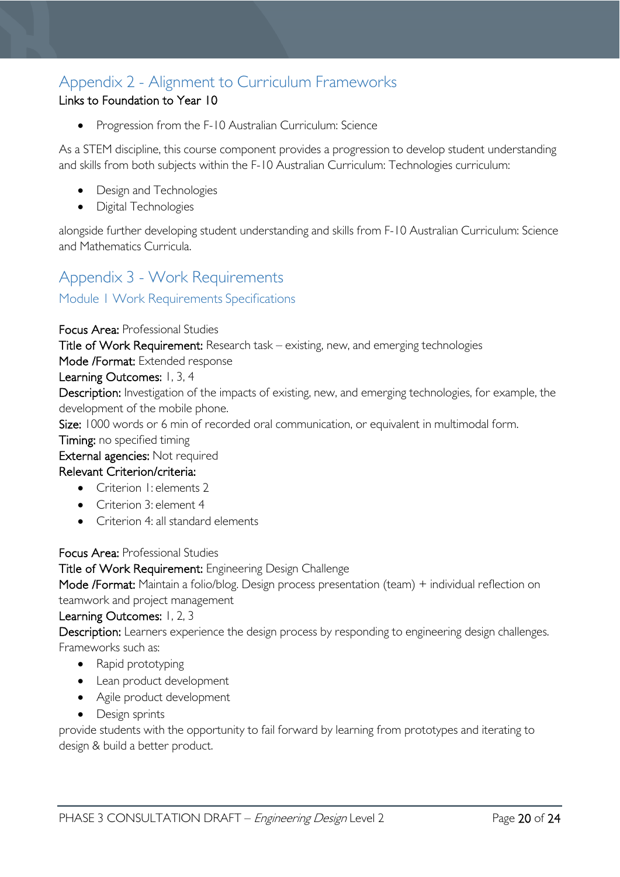# <span id="page-19-0"></span>Appendix 2 - Alignment to Curriculum Frameworks

# Links to Foundation to Year 10

• Progression from the F-10 Australian Curriculum: Science

As a STEM discipline, this course component provides a progression to develop student understanding and skills from both subjects within the F-10 Australian Curriculum: Technologies curriculum:

- Design and Technologies
- Digital Technologies

alongside further developing student understanding and skills from F-10 Australian Curriculum: Science and Mathematics Curricula.

# <span id="page-19-1"></span>Appendix 3 - Work Requirements

<span id="page-19-2"></span>Module 1 Work Requirements Specifications

### Focus Area: Professional Studies

Title of Work Requirement: Research task – existing, new, and emerging technologies

#### Mode /Format: Extended response

### Learning Outcomes: 1, 3, 4

Description: Investigation of the impacts of existing, new, and emerging technologies, for example, the development of the mobile phone.

Size: 1000 words or 6 min of recorded oral communication, or equivalent in multimodal form.

Timing: no specified timing

### External agencies: Not required

# Relevant Criterion/criteria:

- Criterion I: elements 2
- Criterion 3: element 4
- Criterion 4: all standard elements

Focus Area: Professional Studies

Title of Work Requirement: Engineering Design Challenge

Mode /Format: Maintain a folio/blog. Design process presentation (team) + individual reflection on teamwork and project management

Learning Outcomes: 1, 2, 3

Description: Learners experience the design process by responding to engineering design challenges. Frameworks such as:

- Rapid prototyping
- Lean product development
- Agile product development
- Design sprints

provide students with the opportunity to fail forward by learning from prototypes and iterating to design & build a better product.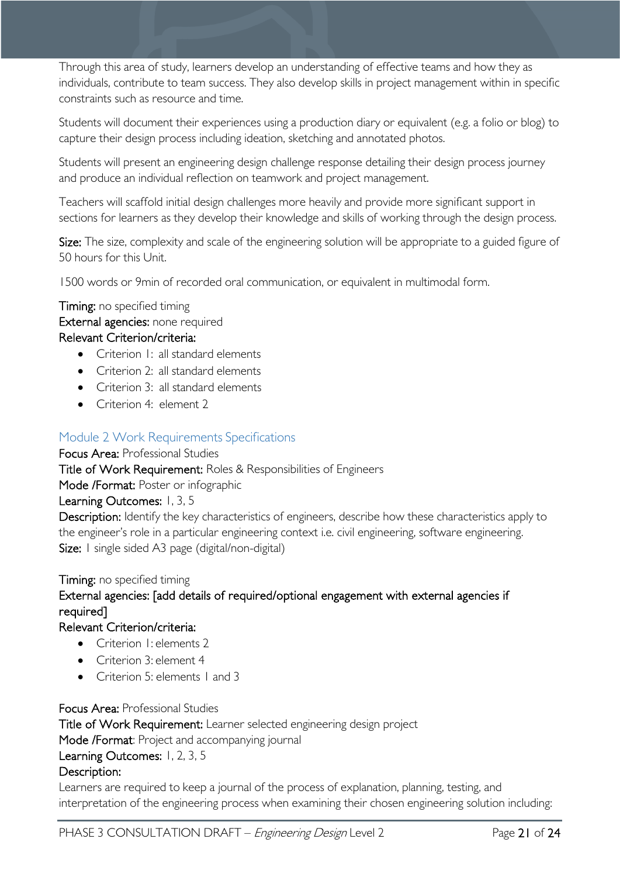Through this area of study, learners develop an understanding of effective teams and how they as individuals, contribute to team success. They also develop skills in project management within in specific constraints such as resource and time.

Students will document their experiences using a production diary or equivalent (e.g. a folio or blog) to capture their design process including ideation, sketching and annotated photos.

Students will present an engineering design challenge response detailing their design process journey and produce an individual reflection on teamwork and project management.

Teachers will scaffold initial design challenges more heavily and provide more significant support in sections for learners as they develop their knowledge and skills of working through the design process.

Size: The size, complexity and scale of the engineering solution will be appropriate to a guided figure of 50 hours for this Unit.

1500 words or 9min of recorded oral communication, or equivalent in multimodal form.

**Timing:** no specified timing External agencies: none required Relevant Criterion/criteria:

- Criterion 1: all standard elements
- Criterion 2: all standard elements
- Criterion 3: all standard elements
- Criterion 4: element 2

#### <span id="page-20-0"></span>Module 2 Work Requirements Specifications

#### Focus Area: Professional Studies

Title of Work Requirement: Roles & Responsibilities of Engineers

Mode /Format: Poster or infographic

#### Learning Outcomes: 1, 3, 5

Description: Identify the key characteristics of engineers, describe how these characteristics apply to the engineer's role in a particular engineering context i.e. civil engineering, software engineering. Size: I single sided A3 page (digital/non-digital)

# Timing: no specified timing External agencies: [add details of required/optional engagement with external agencies if required]

### Relevant Criterion/criteria:

- Criterion I: elements 2
- Criterion 3: element 4
- Criterion 5: elements 1 and 3

#### Focus Area: Professional Studies

Title of Work Requirement: Learner selected engineering design project Mode /Format: Project and accompanying journal Learning Outcomes: 1, 2, 3, 5 Description:

Learners are required to keep a journal of the process of explanation, planning, testing, and interpretation of the engineering process when examining their chosen engineering solution including: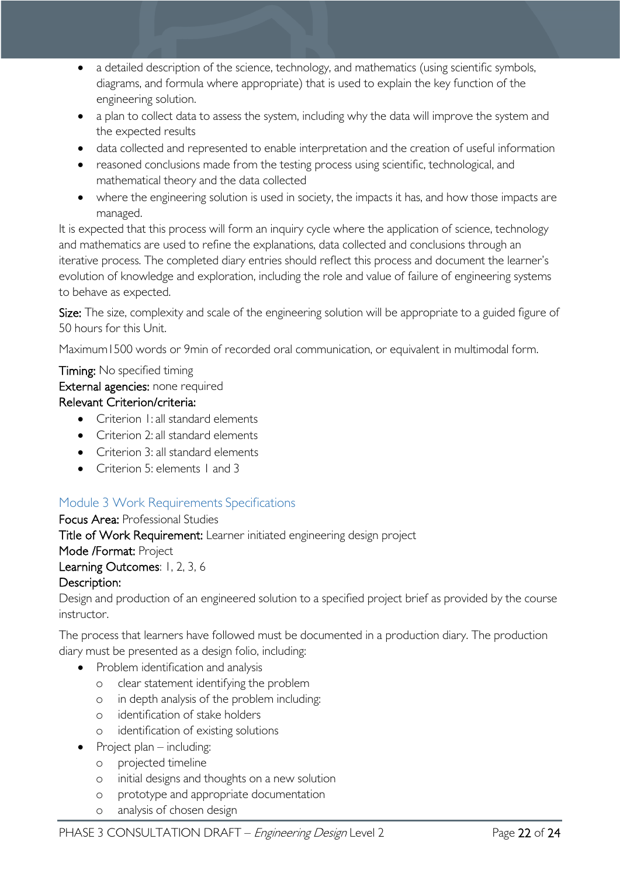- a detailed description of the science, technology, and mathematics (using scientific symbols, diagrams, and formula where appropriate) that is used to explain the key function of the engineering solution.
- a plan to collect data to assess the system, including why the data will improve the system and the expected results
- data collected and represented to enable interpretation and the creation of useful information
- reasoned conclusions made from the testing process using scientific, technological, and mathematical theory and the data collected
- where the engineering solution is used in society, the impacts it has, and how those impacts are managed.

It is expected that this process will form an inquiry cycle where the application of science, technology and mathematics are used to refine the explanations, data collected and conclusions through an iterative process. The completed diary entries should reflect this process and document the learner's evolution of knowledge and exploration, including the role and value of failure of engineering systems to behave as expected.

Size: The size, complexity and scale of the engineering solution will be appropriate to a guided figure of 50 hours for this Unit.

Maximum1500 words or 9min of recorded oral communication, or equivalent in multimodal form.

### Timing: No specified timing External agencies: none required Relevant Criterion/criteria:

- Criterion I<sup>I</sup> all standard elements
- Criterion 2: all standard elements
- Criterion 3: all standard elements
- Criterion 5: elements L and 3

# <span id="page-21-0"></span>Module 3 Work Requirements Specifications

# Focus Area: Professional Studies

Title of Work Requirement: Learner initiated engineering design project

Mode /Format: Project

# Learning Outcomes: 1, 2, 3, 6

# Description:

Design and production of an engineered solution to a specified project brief as provided by the course instructor.

The process that learners have followed must be documented in a production diary. The production diary must be presented as a design folio, including:

- Problem identification and analysis
	- o clear statement identifying the problem
	- o in depth analysis of the problem including:
	- o identification of stake holders
	- o identification of existing solutions
- Project plan including:
	- o projected timeline
	- o initial designs and thoughts on a new solution
	- o prototype and appropriate documentation
	- o analysis of chosen design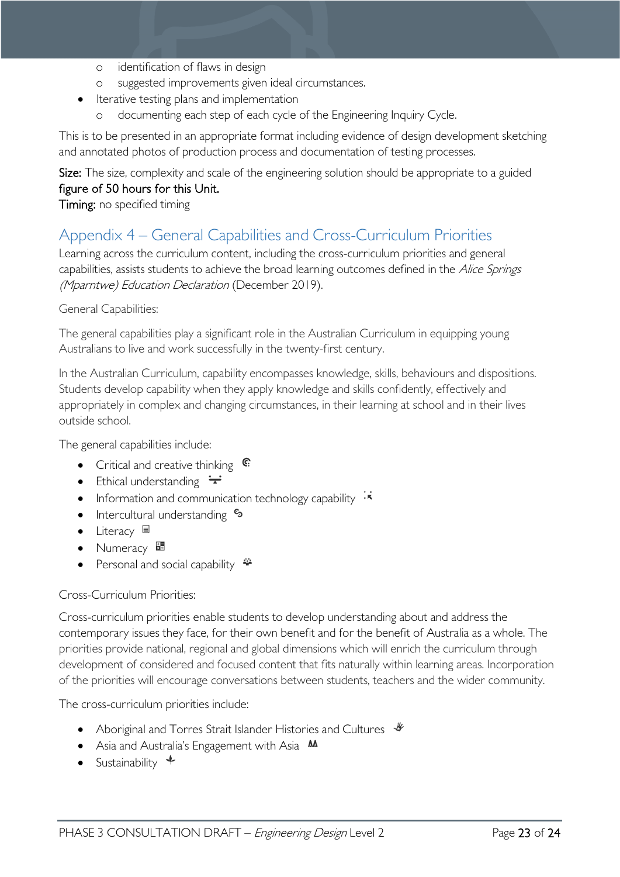- o identification of flaws in design
- o suggested improvements given ideal circumstances.
- Iterative testing plans and implementation
	- documenting each step of each cycle of the Engineering Inquiry Cycle.

This is to be presented in an appropriate format including evidence of design development sketching and annotated photos of production process and documentation of testing processes.

Size: The size, complexity and scale of the engineering solution should be appropriate to a guided figure of 50 hours for this Unit.

### Timing: no specified timing

# <span id="page-22-0"></span>Appendix 4 – General Capabilities and Cross-Curriculum Priorities

Learning across the curriculum content, including the cross-curriculum priorities and general capabilities, assists students to achieve the broad learning outcomes defined in the Alice Springs (Mparntwe) Education Declaration (December 2019).

### General Capabilities:

The general capabilities play a significant role in the Australian Curriculum in equipping young Australians to live and work successfully in the twenty-first century.

In the Australian Curriculum, capability encompasses knowledge, skills, behaviours and dispositions. Students develop capability when they apply knowledge and skills confidently, effectively and appropriately in complex and changing circumstances, in their learning at school and in their lives outside school.

The general capabilities include:

- Critical and creative thinking  $\mathbb{C}$
- Ethical understanding  $\div$
- Information and communication technology capability  $\cdot \star$
- Intercultural understanding  $\frac{c_3}{ }$
- Literacy  $\blacksquare$
- Numeracy ■
- Personal and social capability  $\ddot{\bullet}$

# Cross-Curriculum Priorities:

Cross-curriculum priorities enable students to develop understanding about and address the contemporary issues they face, for their own benefit and for the benefit of Australia as a whole. The priorities provide national, regional and global dimensions which will enrich the curriculum through development of considered and focused content that fits naturally within learning areas. Incorporation of the priorities will encourage conversations between students, teachers and the wider community.

The cross-curriculum priorities include:

- Aboriginal and Torres Strait Islander Histories and Cultures  $\mathcal$
- Asia and Australia's Engagement with Asia **MA**
- Sustainability  $\triangleleft$